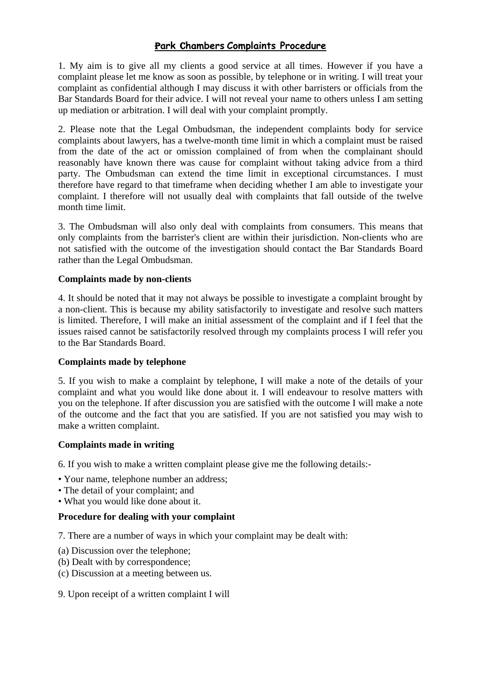# P**ark** C**hambers Complaints Procedure**

1. My aim is to give all my clients a good service at all times. However if you have a complaint please let me know as soon as possible, by telephone or in writing. I will treat your complaint as confidential although I may discuss it with other barristers or officials from the Bar Standards Board for their advice. I will not reveal your name to others unless I am setting up mediation or arbitration. I will deal with your complaint promptly.

2. Please note that the Legal Ombudsman, the independent complaints body for service complaints about lawyers, has a twelve-month time limit in which a complaint must be raised from the date of the act or omission complained of from when the complainant should reasonably have known there was cause for complaint without taking advice from a third party. The Ombudsman can extend the time limit in exceptional circumstances. I must therefore have regard to that timeframe when deciding whether I am able to investigate your complaint. I therefore will not usually deal with complaints that fall outside of the twelve month time limit.

3. The Ombudsman will also only deal with complaints from consumers. This means that only complaints from the barrister's client are within their jurisdiction. Non-clients who are not satisfied with the outcome of the investigation should contact the Bar Standards Board rather than the Legal Ombudsman.

## **Complaints made by non-clients**

4. It should be noted that it may not always be possible to investigate a complaint brought by a non-client. This is because my ability satisfactorily to investigate and resolve such matters is limited. Therefore, I will make an initial assessment of the complaint and if I feel that the issues raised cannot be satisfactorily resolved through my complaints process I will refer you to the Bar Standards Board.

### **Complaints made by telephone**

5. If you wish to make a complaint by telephone, I will make a note of the details of your complaint and what you would like done about it. I will endeavour to resolve matters with you on the telephone. If after discussion you are satisfied with the outcome I will make a note of the outcome and the fact that you are satisfied. If you are not satisfied you may wish to make a written complaint.

### **Complaints made in writing**

6. If you wish to make a written complaint please give me the following details:-

- Your name, telephone number an address;
- The detail of your complaint; and
- What you would like done about it.

### **Procedure for dealing with your complaint**

7. There are a number of ways in which your complaint may be dealt with:

- (a) Discussion over the telephone;
- (b) Dealt with by correspondence;
- (c) Discussion at a meeting between us.
- 9. Upon receipt of a written complaint I will